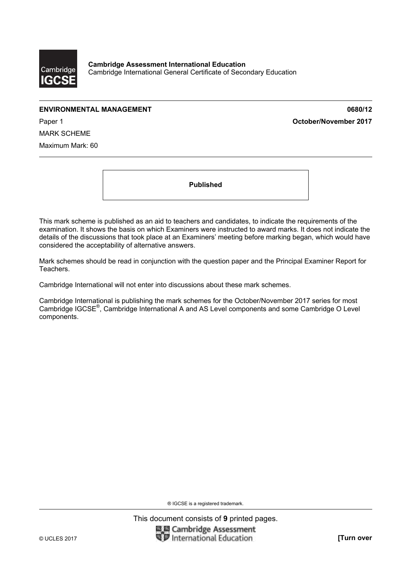

# **ENVIRONMENTAL MANAGEMENT 0680/12**

Paper 1 **October/November 2017**

MARK SCHEME

Maximum Mark: 60

**Published** 

This mark scheme is published as an aid to teachers and candidates, to indicate the requirements of the examination. It shows the basis on which Examiners were instructed to award marks. It does not indicate the details of the discussions that took place at an Examiners' meeting before marking began, which would have considered the acceptability of alternative answers.

Mark schemes should be read in conjunction with the question paper and the Principal Examiner Report for Teachers.

Cambridge International will not enter into discussions about these mark schemes.

Cambridge International is publishing the mark schemes for the October/November 2017 series for most Cambridge IGCSE®, Cambridge International A and AS Level components and some Cambridge O Level components.

® IGCSE is a registered trademark.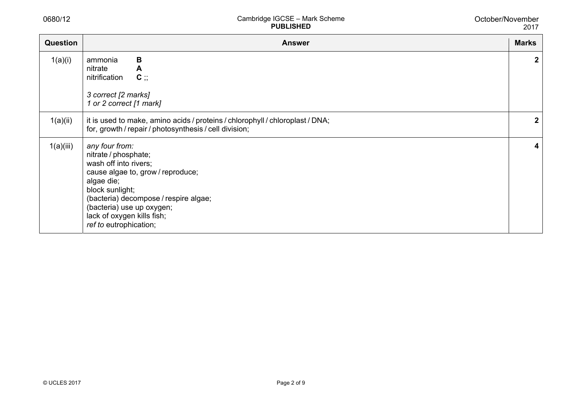0680/12

| <b>Question</b> | <b>Answer</b>                                                                                                                                                                                                                                                       | <b>Marks</b> |
|-----------------|---------------------------------------------------------------------------------------------------------------------------------------------------------------------------------------------------------------------------------------------------------------------|--------------|
| 1(a)(i)         | B<br>ammonia<br>nitrate<br>A<br>$C$ ;<br>nitrification<br>3 correct [2 marks]<br>1 or 2 correct [1 mark]                                                                                                                                                            | $\mathbf{2}$ |
| 1(a)(ii)        | it is used to make, amino acids / proteins / chlorophyll / chloroplast / DNA;<br>for, growth / repair / photosynthesis / cell division;                                                                                                                             | $\mathbf{2}$ |
| 1(a)(iii)       | any four from:<br>nitrate / phosphate;<br>wash off into rivers;<br>cause algae to, grow / reproduce;<br>algae die;<br>block sunlight;<br>(bacteria) decompose / respire algae;<br>(bacteria) use up oxygen;<br>lack of oxygen kills fish;<br>ref to eutrophication; | 4            |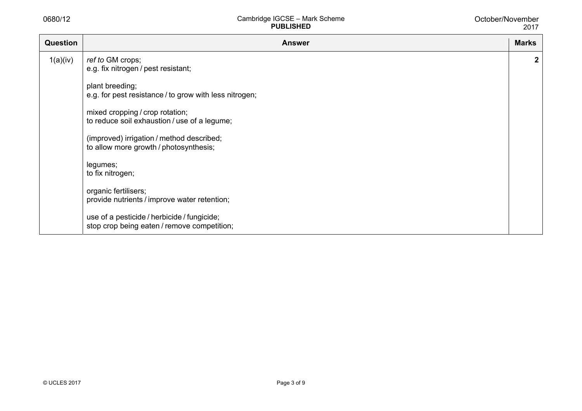| <b>Question</b> | <b>Answer</b>                                                                              | <b>Marks</b> |
|-----------------|--------------------------------------------------------------------------------------------|--------------|
| 1(a)(iv)        | ref to GM crops;<br>e.g. fix nitrogen / pest resistant;                                    | $\mathbf{2}$ |
|                 | plant breeding;<br>e.g. for pest resistance / to grow with less nitrogen;                  |              |
|                 | mixed cropping / crop rotation;<br>to reduce soil exhaustion / use of a legume;            |              |
|                 | (improved) irrigation / method described;<br>to allow more growth / photosynthesis;        |              |
|                 | legumes;<br>to fix nitrogen;                                                               |              |
|                 | organic fertilisers;<br>provide nutrients / improve water retention;                       |              |
|                 | use of a pesticide / herbicide / fungicide;<br>stop crop being eaten / remove competition; |              |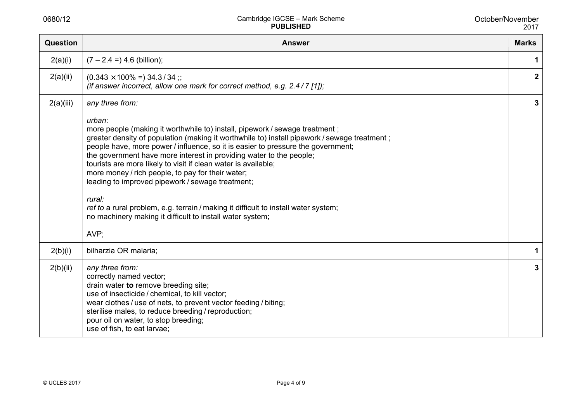| <b>Question</b> | <b>Answer</b>                                                                                                                                                                                                                                                                                                                                                                                                                                                                                                                                                                                                                                                                                                        | <b>Marks</b>            |
|-----------------|----------------------------------------------------------------------------------------------------------------------------------------------------------------------------------------------------------------------------------------------------------------------------------------------------------------------------------------------------------------------------------------------------------------------------------------------------------------------------------------------------------------------------------------------------------------------------------------------------------------------------------------------------------------------------------------------------------------------|-------------------------|
| 2(a)(i)         | $(7 - 2.4 =) 4.6$ (billion);                                                                                                                                                                                                                                                                                                                                                                                                                                                                                                                                                                                                                                                                                         | 1                       |
| 2(a)(ii)        | $(0.343 \times 100\% = 34.3/34$ ;<br>(if answer incorrect, allow one mark for correct method, e.g. $2.4/7$ [1]);                                                                                                                                                                                                                                                                                                                                                                                                                                                                                                                                                                                                     | $\overline{\mathbf{2}}$ |
| 2(a)(iii)       | any three from:<br>urban:<br>more people (making it worthwhile to) install, pipework / sewage treatment;<br>greater density of population (making it worthwhile to) install pipework / sewage treatment;<br>people have, more power / influence, so it is easier to pressure the government;<br>the government have more interest in providing water to the people;<br>tourists are more likely to visit if clean water is available;<br>more money / rich people, to pay for their water;<br>leading to improved pipework / sewage treatment;<br>rural:<br>ref to a rural problem, e.g. terrain / making it difficult to install water system;<br>no machinery making it difficult to install water system;<br>AVP; | 3                       |
| 2(b)(i)         | bilharzia OR malaria;                                                                                                                                                                                                                                                                                                                                                                                                                                                                                                                                                                                                                                                                                                | 1                       |
| 2(b)(ii)        | any three from:<br>correctly named vector;<br>drain water to remove breeding site;<br>use of insecticide / chemical, to kill vector;<br>wear clothes / use of nets, to prevent vector feeding / biting;<br>sterilise males, to reduce breeding / reproduction;<br>pour oil on water, to stop breeding;<br>use of fish, to eat larvae;                                                                                                                                                                                                                                                                                                                                                                                | 3                       |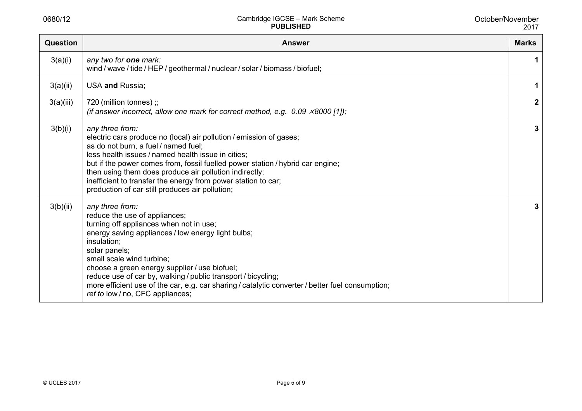| Question  | <b>Answer</b>                                                                                                                                                                                                                                                                                                                                                                                                                                                            | <b>Marks</b>     |
|-----------|--------------------------------------------------------------------------------------------------------------------------------------------------------------------------------------------------------------------------------------------------------------------------------------------------------------------------------------------------------------------------------------------------------------------------------------------------------------------------|------------------|
| 3(a)(i)   | any two for one mark:<br>wind / wave / tide / HEP / geothermal / nuclear / solar / biomass / biofuel;                                                                                                                                                                                                                                                                                                                                                                    | 1                |
| 3(a)(ii)  | USA and Russia;                                                                                                                                                                                                                                                                                                                                                                                                                                                          | 1                |
| 3(a)(iii) | 720 (million tonnes) ;;<br>(if answer incorrect, allow one mark for correct method, e.g. $0.09 \times 8000$ [1]);                                                                                                                                                                                                                                                                                                                                                        | $\boldsymbol{2}$ |
| 3(b)(i)   | any three from:<br>electric cars produce no (local) air pollution / emission of gases;<br>as do not burn, a fuel / named fuel;<br>less health issues / named health issue in cities;<br>but if the power comes from, fossil fuelled power station / hybrid car engine;<br>then using them does produce air pollution indirectly;<br>inefficient to transfer the energy from power station to car;<br>production of car still produces air pollution;                     | 3                |
| 3(b)(ii)  | any three from:<br>reduce the use of appliances;<br>turning off appliances when not in use;<br>energy saving appliances / low energy light bulbs;<br>insulation;<br>solar panels;<br>small scale wind turbine;<br>choose a green energy supplier / use biofuel;<br>reduce use of car by, walking / public transport / bicycling;<br>more efficient use of the car, e.g. car sharing / catalytic converter / better fuel consumption;<br>ref to low / no, CFC appliances; | 3                |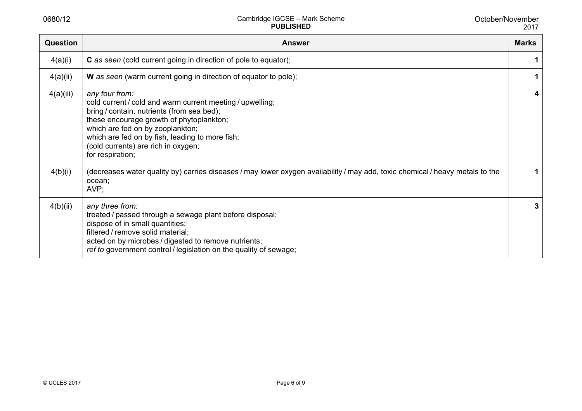| <b>Question</b> | <b>Answer</b>                                                                                                                                                                                                                                                                                                           | <b>Marks</b> |
|-----------------|-------------------------------------------------------------------------------------------------------------------------------------------------------------------------------------------------------------------------------------------------------------------------------------------------------------------------|--------------|
| 4(a)(i)         | <b>C</b> as seen (cold current going in direction of pole to equator);                                                                                                                                                                                                                                                  |              |
| 4(a)(ii)        | W as seen (warm current going in direction of equator to pole);                                                                                                                                                                                                                                                         |              |
| 4(a)(iii)       | any four from:<br>cold current / cold and warm current meeting / upwelling;<br>bring / contain, nutrients (from sea bed);<br>these encourage growth of phytoplankton;<br>which are fed on by zooplankton;<br>which are fed on by fish, leading to more fish;<br>(cold currents) are rich in oxygen;<br>for respiration; | 4            |
| 4(b)(i)         | (decreases water quality by) carries diseases / may lower oxygen availability / may add, toxic chemical / heavy metals to the<br>ocean;<br>AVP;                                                                                                                                                                         |              |
| 4(b)(ii)        | any three from:<br>treated / passed through a sewage plant before disposal;<br>dispose of in small quantities;<br>filtered / remove solid material;<br>acted on by microbes / digested to remove nutrients;<br>ref to government control / legislation on the quality of sewage;                                        | 3            |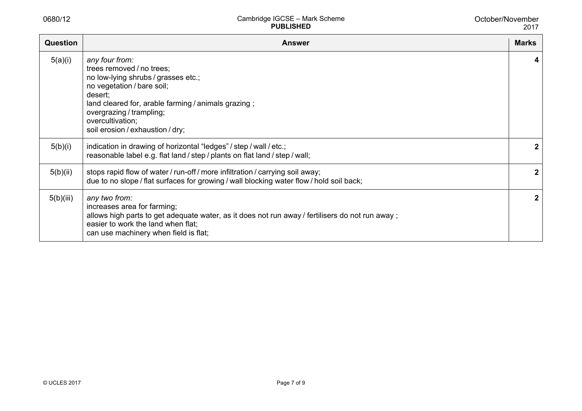| <b>Question</b> | <b>Answer</b>                                                                                                                                                                                                                                                          | <b>Marks</b> |
|-----------------|------------------------------------------------------------------------------------------------------------------------------------------------------------------------------------------------------------------------------------------------------------------------|--------------|
| 5(a)(i)         | any four from:<br>trees removed / no trees;<br>no low-lying shrubs / grasses etc.;<br>no vegetation / bare soil;<br>desert;<br>land cleared for, arable farming / animals grazing;<br>overgrazing / trampling;<br>overcultivation;<br>soil erosion / exhaustion / dry; | 4            |
| 5(b)(i)         | indication in drawing of horizontal "ledges" / step / wall / etc.;<br>reasonable label e.g. flat land / step / plants on flat land / step / wall;                                                                                                                      | $\mathbf{2}$ |
| 5(b)(ii)        | stops rapid flow of water / run-off / more infiltration / carrying soil away;<br>due to no slope / flat surfaces for growing / wall blocking water flow / hold soil back;                                                                                              | $\mathbf{2}$ |
| 5(b)(iii)       | any two from:<br>increases area for farming;<br>allows high parts to get adequate water, as it does not run away / fertilisers do not run away;<br>easier to work the land when flat;<br>can use machinery when field is flat;                                         | $\mathbf{2}$ |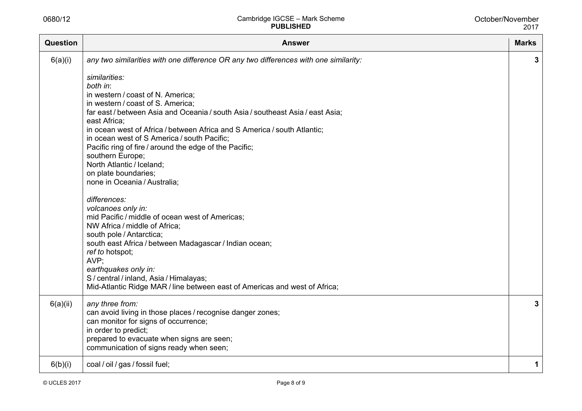| <b>Question</b> | <b>Answer</b>                                                                                                                                                                                                                                                                                                                                                                                                                                                                                                                                                                                                                                                                                                                                                                                                                                                                                                                                                                           | <b>Marks</b> |
|-----------------|-----------------------------------------------------------------------------------------------------------------------------------------------------------------------------------------------------------------------------------------------------------------------------------------------------------------------------------------------------------------------------------------------------------------------------------------------------------------------------------------------------------------------------------------------------------------------------------------------------------------------------------------------------------------------------------------------------------------------------------------------------------------------------------------------------------------------------------------------------------------------------------------------------------------------------------------------------------------------------------------|--------------|
| 6(a)(i)         | any two similarities with one difference OR any two differences with one similarity:<br>similarities:<br>both in:<br>in western / coast of N. America;<br>in western / coast of S. America;<br>far east / between Asia and Oceania / south Asia / southeast Asia / east Asia;<br>east Africa:<br>in ocean west of Africa / between Africa and S America / south Atlantic;<br>in ocean west of S America / south Pacific;<br>Pacific ring of fire / around the edge of the Pacific;<br>southern Europe;<br>North Atlantic / Iceland;<br>on plate boundaries;<br>none in Oceania / Australia;<br>differences:<br>volcanoes only in:<br>mid Pacific / middle of ocean west of Americas;<br>NW Africa / middle of Africa;<br>south pole / Antarctica;<br>south east Africa / between Madagascar / Indian ocean;<br>ref to hotspot;<br>AVP:<br>earthquakes only in:<br>S / central / inland, Asia / Himalayas;<br>Mid-Atlantic Ridge MAR / line between east of Americas and west of Africa; | 3            |
| 6(a)(ii)        | any three from:<br>can avoid living in those places / recognise danger zones;<br>can monitor for signs of occurrence;<br>in order to predict;<br>prepared to evacuate when signs are seen;<br>communication of signs ready when seen;                                                                                                                                                                                                                                                                                                                                                                                                                                                                                                                                                                                                                                                                                                                                                   | 3            |
| 6(b)(i)         | coal / oil / gas / fossil fuel;                                                                                                                                                                                                                                                                                                                                                                                                                                                                                                                                                                                                                                                                                                                                                                                                                                                                                                                                                         | 1            |